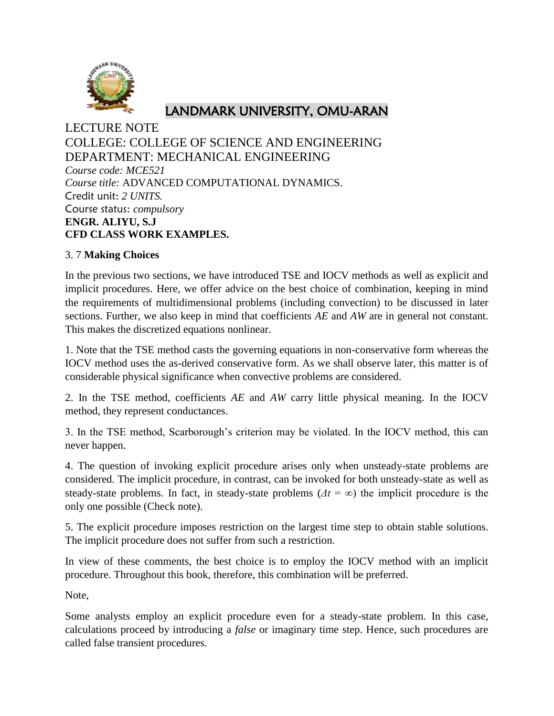

## LANDMARK UNIVERSITY, OMU-ARAN

LECTURE NOTE COLLEGE: COLLEGE OF SCIENCE AND ENGINEERING DEPARTMENT: MECHANICAL ENGINEERING *Course code: MCE521 Course title:* ADVANCED COMPUTATIONAL DYNAMICS. Credit unit: *2 UNITS.* Course status: *compulsory* **ENGR. ALIYU, S.J CFD CLASS WORK EXAMPLES.**

## 3. 7 **Making Choices**

In the previous two sections, we have introduced TSE and IOCV methods as well as explicit and implicit procedures. Here, we offer advice on the best choice of combination, keeping in mind the requirements of multidimensional problems (including convection) to be discussed in later sections. Further, we also keep in mind that coefficients *AE* and *AW* are in general not constant. This makes the discretized equations nonlinear.

1. Note that the TSE method casts the governing equations in non-conservative form whereas the IOCV method uses the as-derived conservative form. As we shall observe later, this matter is of considerable physical significance when convective problems are considered.

2. In the TSE method, coefficients *AE* and *AW* carry little physical meaning. In the IOCV method, they represent conductances.

3. In the TSE method, Scarborough's criterion may be violated. In the IOCV method, this can never happen.

4. The question of invoking explicit procedure arises only when unsteady-state problems are considered. The implicit procedure, in contrast, can be invoked for both unsteady-state as well as steady-state problems. In fact, in steady-state problems ( $\Delta t = \infty$ ) the implicit procedure is the only one possible (Check note).

5. The explicit procedure imposes restriction on the largest time step to obtain stable solutions. The implicit procedure does not suffer from such a restriction.

In view of these comments, the best choice is to employ the IOCV method with an implicit procedure. Throughout this book, therefore, this combination will be preferred.

Note,

Some analysts employ an explicit procedure even for a steady-state problem. In this case, calculations proceed by introducing a *false* or imaginary time step. Hence, such procedures are called false transient procedures.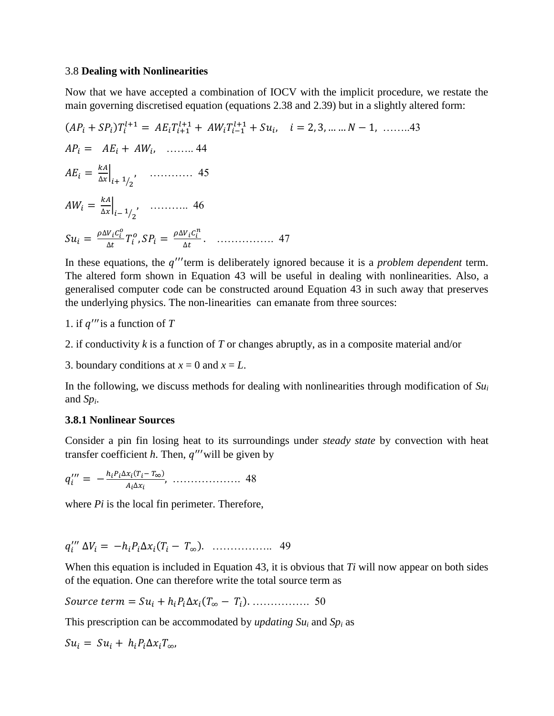#### 3.8 **Dealing with Nonlinearities**

Now that we have accepted a combination of IOCV with the implicit procedure, we restate the main governing discretised equation (equations 2.38 and 2.39) but in a slightly altered form:

$$
(AP_i + SP_i)T_i^{l+1} = AE_i T_{i+1}^{l+1} + AW_i T_{i-1}^{l+1} + Su_i, \quad i = 2, 3, \dots, N-1, \dots, 43
$$
  
\n
$$
AP_i = AE_i + AW_i, \dots, 44
$$
  
\n
$$
AE_i = \frac{kA}{\Delta x}\Big|_{i+1/2}, \dots, 45
$$
  
\n
$$
AW_i = \frac{kA}{\Delta x}\Big|_{i-1/2}, \dots, 46
$$
  
\n
$$
Su_i = \frac{\rho \Delta V_i C_i^0}{\Delta t} T_i^o, SP_i = \frac{\rho \Delta V_i C_i^n}{\Delta t}.
$$

In these equations, the q'''term is deliberately ignored because it is a *problem dependent* term. The altered form shown in Equation 43 will be useful in dealing with nonlinearities. Also, a generalised computer code can be constructed around Equation 43 in such away that preserves the underlying physics. The non-linearities can emanate from three sources:

1. if  $q'''$  is a function of  $T$ 

2. if conductivity *k* is a function of *T* or changes abruptly, as in a composite material and/or

3. boundary conditions at  $x = 0$  and  $x = L$ .

In the following, we discuss methods for dealing with nonlinearities through modification of *Su<sup>i</sup>* and *Sp<sup>i</sup>* .

#### **3.8.1 Nonlinear Sources**

Consider a pin fin losing heat to its surroundings under *steady state* by convection with heat transfer coefficient  $h$ . Then,  $q''$  will be given by

$$
q_i''' = -\frac{h_i P_i \Delta x_i (T_i - T_\infty)}{A_i \Delta x_i}, \ \ldots \ldots \ldots \ldots \ldots \ldots \quad 48
$$

where *Pi* is the local fin perimeter. Therefore,

$$
q_i^{\prime\prime\prime} \Delta V_i = -h_i P_i \Delta x_i (T_i - T_\infty). \quad \dots \dots \dots \dots \dots \dots \quad 49
$$

When this equation is included in Equation 43, it is obvious that *Ti* will now appear on both sides of the equation. One can therefore write the total source term as

( ) ……………. 50

This prescription can be accommodated by *updating Su<sup>i</sup>* and *Sp<sup>i</sup>* as

$$
Su_i = Su_i + h_i P_i \Delta x_i T_{\infty},
$$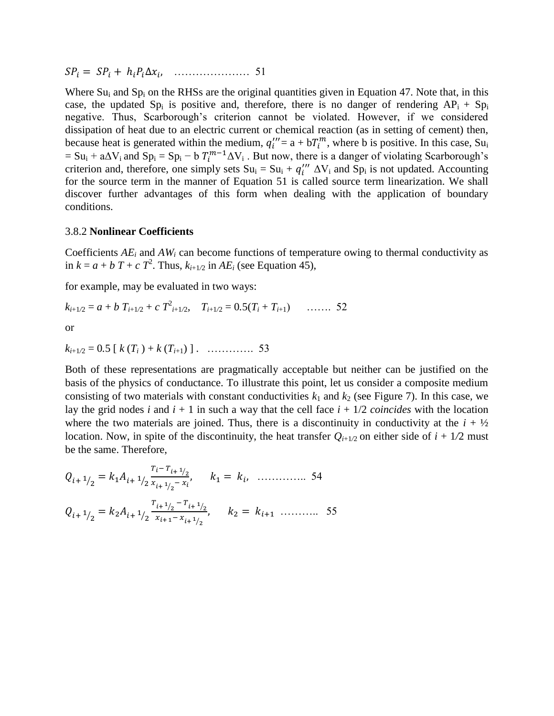………………… 51

Where  $Su_i$  and  $Sp_i$  on the RHSs are the original quantities given in Equation 47. Note that, in this case, the updated Sp<sub>i</sub> is positive and, therefore, there is no danger of rendering  $AP_i + Sp_i$ negative. Thus, Scarborough's criterion cannot be violated. However, if we considered dissipation of heat due to an electric current or chemical reaction (as in setting of cement) then, because heat is generated within the medium,  $q_i''' = a + bT_i^m$ , where b is positive. In this case, Su<sub>i</sub>  $= Su_i + a\Delta V_i$  and  $Sp_i = Sp_i - bT_i^{m-1}\Delta V_i$ . But now, there is a danger of violating Scarborough's criterion and, therefore, one simply sets  $Su_i = Su_i + q_i'''\Delta V_i$  and  $Sp_i$  is not updated. Accounting for the source term in the manner of Equation 51 is called source term linearization. We shall discover further advantages of this form when dealing with the application of boundary conditions.

#### 3.8.2 **Nonlinear Coefficients**

Coefficients  $AE_i$  and  $AW_i$  can become functions of temperature owing to thermal conductivity as in  $k = a + b$   $T + c$   $T^2$ . Thus,  $k_{i+1/2}$  in  $AE_i$  (see Equation 45),

for example, may be evaluated in two ways:

$$
k_{i+1/2} = a + b T_{i+1/2} + c T_{i+1/2}^2, \quad T_{i+1/2} = 0.5(T_i + T_{i+1}) \quad \dots \dots \quad 52
$$

or

 $k_{i+1/2} = 0.5 \left[ k(T_i) + k(T_{i+1}) \right]$  . ………….. 53

Both of these representations are pragmatically acceptable but neither can be justified on the basis of the physics of conductance. To illustrate this point, let us consider a composite medium consisting of two materials with constant conductivities  $k_1$  and  $k_2$  (see Figure 7). In this case, we lay the grid nodes *i* and  $i + 1$  in such a way that the cell face  $i + 1/2$  *coincides* with the location where the two materials are joined. Thus, there is a discontinuity in conductivity at the  $i + \frac{1}{2}$ location. Now, in spite of the discontinuity, the heat transfer  $Q_{i+1/2}$  on either side of  $i + 1/2$  must be the same. Therefore,

 <sup>⁄</sup> ⁄ ⁄ ⁄ ………….. 54 <sup>⁄</sup> ⁄ ⁄ ⁄ ⁄ ……….. 55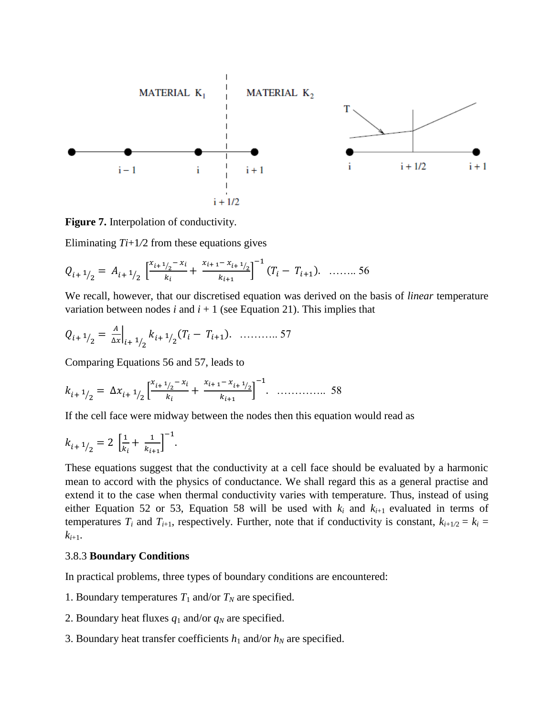

**Figure 7.** Interpolation of conductivity.

Eliminating  $Ti+1/2$  from these equations gives

 <sup>⁄</sup> ⁄ [ ⁄ ⁄ ] ( ) …….. 56

We recall, however, that our discretised equation was derived on the basis of *linear* temperature variation between nodes  $i$  and  $i + 1$  (see Equation 21). This implies that

$$
Q_{i+1/2} = \frac{A}{\Delta x}\Big|_{i+1/2} k_{i+1/2} (T_i - T_{i+1}). \quad \dots \dots \dots \dots \dots 57
$$

Comparing Equations 56 and 57, leads to

$$
k_{i+1/2} = \Delta x_{i+1/2} \left[ \frac{x_{i+1/2} - x_i}{k_i} + \frac{x_{i+1} - x_{i+1/2}}{k_{i+1}} \right]^{-1}.
$$

If the cell face were midway between the nodes then this equation would read as

$$
k_{i+1/2} = 2\left[\frac{1}{k_i} + \frac{1}{k_{i+1}}\right]^{-1}.
$$

These equations suggest that the conductivity at a cell face should be evaluated by a harmonic mean to accord with the physics of conductance. We shall regard this as a general practise and extend it to the case when thermal conductivity varies with temperature. Thus, instead of using either Equation 52 or 53, Equation 58 will be used with  $k_i$  and  $k_{i+1}$  evaluated in terms of temperatures  $T_i$  and  $T_{i+1}$ , respectively. Further, note that if conductivity is constant,  $k_{i+1/2} = k_i$  $k_{i+1}$ .

#### 3.8.3 **Boundary Conditions**

In practical problems, three types of boundary conditions are encountered:

- 1. Boundary temperatures  $T_1$  and/or  $T_N$  are specified.
- 2. Boundary heat fluxes  $q_1$  and/or  $q_N$  are specified.
- 3. Boundary heat transfer coefficients  $h_1$  and/or  $h_N$  are specified.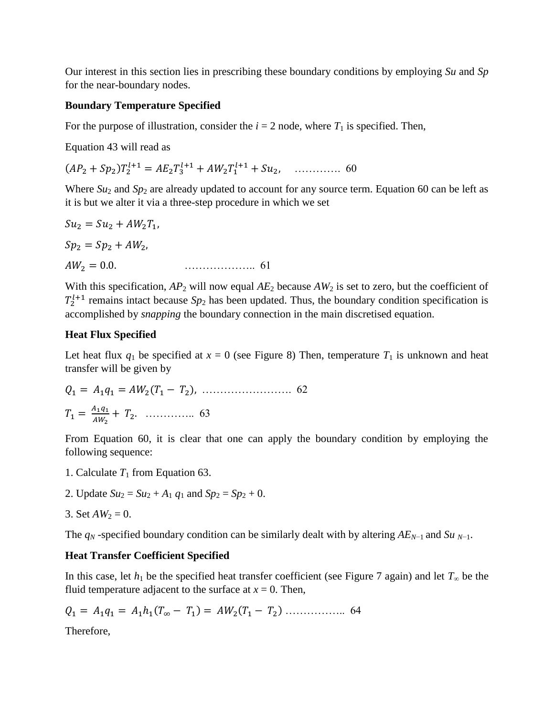Our interest in this section lies in prescribing these boundary conditions by employing *Su* and *Sp*  for the near-boundary nodes.

## **Boundary Temperature Specified**

For the purpose of illustration, consider the  $i = 2$  node, where  $T_1$  is specified. Then,

Equation 43 will read as

( ) …………. 60

Where  $Su_2$  and  $Sp_2$  are already updated to account for any source term. Equation 60 can be left as it is but we alter it via a three-step procedure in which we set

$$
Su_2 = Su_2 + AW_2T_1,
$$
  
\n
$$
Sp_2 = Sp_2 + AW_2,
$$
  
\n
$$
AW_2 = 0.0.
$$

With this specification,  $AP_2$  will now equal  $AE_2$  because  $AW_2$  is set to zero, but the coefficient of  $T_2^{l+1}$  remains intact because  $Sp_2$  has been updated. Thus, the boundary condition specification is accomplished by *snapping* the boundary connection in the main discretised equation.

## **Heat Flux Specified**

Let heat flux  $q_1$  be specified at  $x = 0$  (see Figure 8) Then, temperature  $T_1$  is unknown and heat transfer will be given by

 ( ) ……………………. 62 ………….. 63

From Equation 60, it is clear that one can apply the boundary condition by employing the following sequence:

- 1. Calculate  $T_1$  from Equation 63.
- 2. Update  $Su_2 = Su_2 + A_1 q_1$  and  $Sp_2 = Sp_2 + 0$ .
- 3. Set  $AW_2 = 0$ .

The  $q_N$ -specified boundary condition can be similarly dealt with by altering  $AE_{N-1}$  and  $Su_{N-1}$ .

## **Heat Transfer Coefficient Specified**

In this case, let  $h_1$  be the specified heat transfer coefficient (see Figure 7 again) and let  $T_\infty$  be the fluid temperature adjacent to the surface at  $x = 0$ . Then,

 ( ) ( ) …………….. 64

Therefore,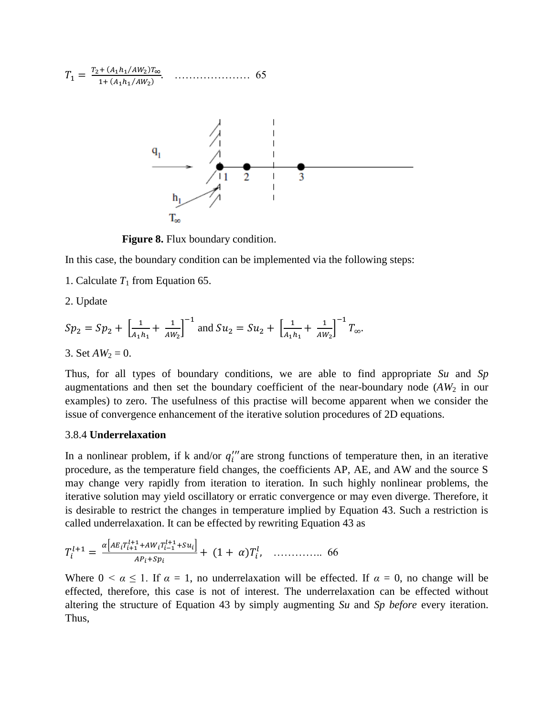

**Figure 8.** Flux boundary condition.

In this case, the boundary condition can be implemented via the following steps:

1. Calculate  $T_1$  from Equation 65.

2. Update

$$
Sp_2 = Sp_2 + \left[\frac{1}{A_1h_1} + \frac{1}{AW_2}\right]^{-1} \text{ and } Su_2 = Su_2 + \left[\frac{1}{A_1h_1} + \frac{1}{AW_2}\right]^{-1}T_{\infty}.
$$

3. Set  $AW_2 = 0$ .

Thus, for all types of boundary conditions, we are able to find appropriate *Su* and *Sp*  augmentations and then set the boundary coefficient of the near-boundary node (AW<sub>2</sub> in our examples) to zero. The usefulness of this practise will become apparent when we consider the issue of convergence enhancement of the iterative solution procedures of 2D equations.

#### 3.8.4 **Underrelaxation**

In a nonlinear problem, if k and/or  $q_i^{\prime\prime\prime}$  are strong functions of temperature then, in an iterative procedure, as the temperature field changes, the coefficients AP, AE, and AW and the source S may change very rapidly from iteration to iteration. In such highly nonlinear problems, the iterative solution may yield oscillatory or erratic convergence or may even diverge. Therefore, it is desirable to restrict the changes in temperature implied by Equation 43. Such a restriction is called underrelaxation. It can be effected by rewriting Equation 43 as

 [ ] ( ) ………….. 66

Where  $0 \le \alpha \le 1$ . If  $\alpha = 1$ , no underrelaxation will be effected. If  $\alpha = 0$ , no change will be effected, therefore, this case is not of interest. The underrelaxation can be effected without altering the structure of Equation 43 by simply augmenting *Su* and *Sp before* every iteration. Thus,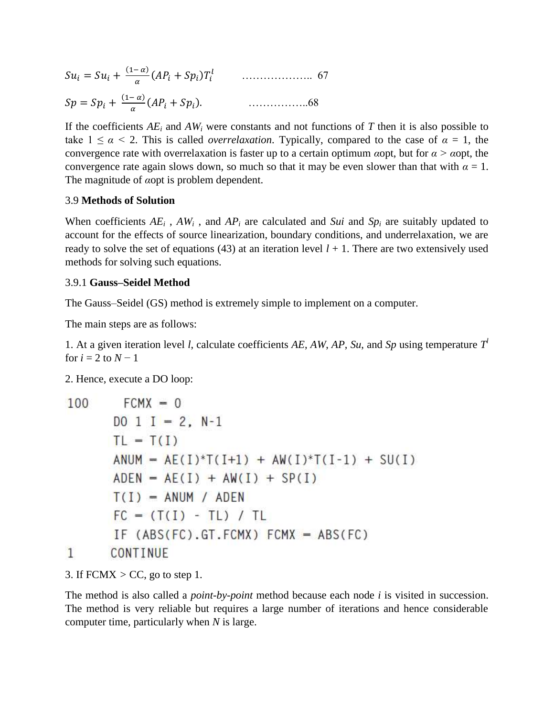( ) ( ) ……………….. 67 ( ) ( ) ……………..68

If the coefficients  $AE_i$  and  $AW_i$  were constants and not functions of  $T$  then it is also possible to take  $1 \le \alpha \le 2$ . This is called *overrelaxation*. Typically, compared to the case of  $\alpha = 1$ , the convergence rate with overrelaxation is faster up to a certain optimum *α*opt, but for *α > α*opt, the convergence rate again slows down, so much so that it may be even slower than that with  $\alpha = 1$ . The magnitude of *α*opt is problem dependent.

#### 3.9 **Methods of Solution**

When coefficients  $AE_i$ ,  $AW_i$ , and  $AP_i$  are calculated and *Sui* and  $Sp_i$  are suitably updated to account for the effects of source linearization, boundary conditions, and underrelaxation, we are ready to solve the set of equations (43) at an iteration level  $l + 1$ . There are two extensively used methods for solving such equations.

#### 3.9.1 **Gauss–Seidel Method**

The Gauss–Seidel (GS) method is extremely simple to implement on a computer.

The main steps are as follows:

1. At a given iteration level *l*, calculate coefficients  $AE$ ,  $AW$ ,  $AP$ ,  $Su$ , and  $Sp$  using temperature  $T<sup>l</sup>$ for  $i = 2$  to  $N - 1$ 

2. Hence, execute a DO loop:

| 100 | $FCMX = 0$                                   |
|-----|----------------------------------------------|
|     | $D0 1 I = 2, N-1$                            |
|     | $TL = T(I)$                                  |
|     | $ANUM = AE(I)*T(I+1) + AW(I)*T(I-1) + SU(I)$ |
|     | $ADEN = AE(I) + AW(I) + SP(I)$               |
|     | $T(I)$ = ANUM / ADEN                         |
|     | $FC = (T(I) - TL) / TL$                      |
|     | IF $(ABS(FC).GT.FCMX) FCMX = ABS(FC)$        |
|     | CONTINUE                                     |

3. If FCMX *>* CC, go to step 1.

The method is also called a *point-by-point* method because each node *i* is visited in succession. The method is very reliable but requires a large number of iterations and hence considerable computer time, particularly when *N* is large.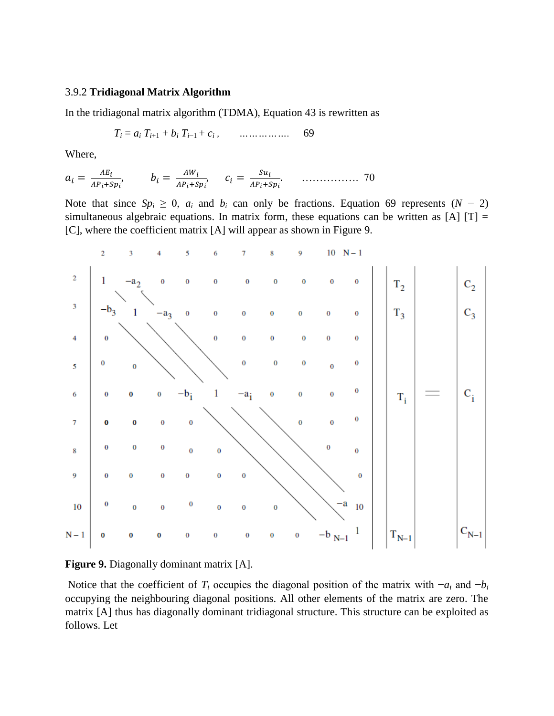### 3.9.2 **Tridiagonal Matrix Algorithm**

In the tridiagonal matrix algorithm (TDMA), Equation 43 is rewritten as

$$
T_i = a_i T_{i+1} + b_i T_{i-1} + c_i, \qquad \dots \dots \dots \dots \dots \dots \quad 69
$$

Where,

 ……………. 70

Note that since  $Sp_i \geq 0$ ,  $a_i$  and  $b_i$  can only be fractions. Equation 69 represents  $(N - 2)$ simultaneous algebraic equations. In matrix form, these equations can be written as  $[A]$  [T] = [C], where the coefficient matrix [A] will appear as shown in Figure 9.



**Figure 9.** Diagonally dominant matrix [A].

Notice that the coefficient of  $T_i$  occupies the diagonal position of the matrix with  $-a_i$  and  $-b_i$ occupying the neighbouring diagonal positions. All other elements of the matrix are zero. The matrix [A] thus has diagonally dominant tridiagonal structure. This structure can be exploited as follows. Let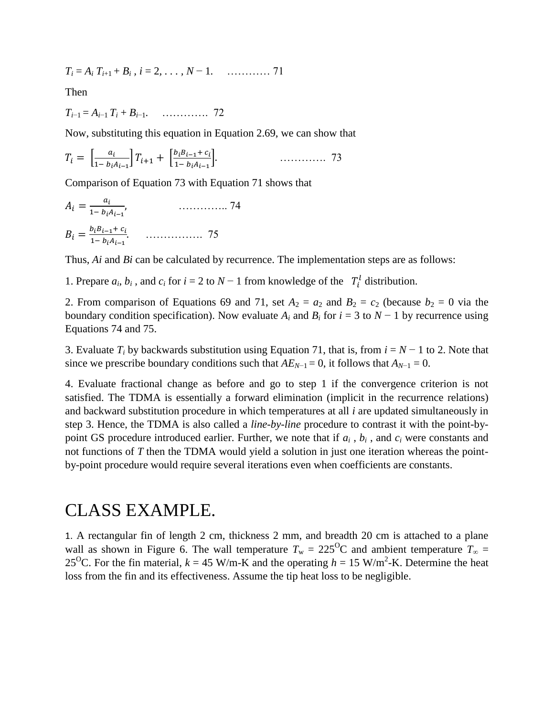*T<sup>i</sup>* = *A<sup>i</sup> Ti*+1 + *B<sup>i</sup> , i* = 2*, . . . , N* − 1*.* ………… 71

Then

*Ti*−1 = *Ai*−1 *T<sup>i</sup>* + *Bi*−1*.* …………. 72

Now, substituting this equation in Equation 2.69, we can show that

$$
T_i = \left[\frac{a_i}{1 - b_i A_{i-1}}\right] T_{i+1} + \left[\frac{b_i B_{i-1} + c_i}{1 - b_i A_{i-1}}\right]. \tag{73}
$$

Comparison of Equation 73 with Equation 71 shows that

 ………….. 74 ……………. 75

Thus, *Ai* and *Bi* can be calculated by recurrence. The implementation steps are as follows:

1. Prepare  $a_i, b_i$ , and  $c_i$  for  $i = 2$  to  $N - 1$  from knowledge of the  $T_i^l$  distribution.

2. From comparison of Equations 69 and 71, set  $A_2 = a_2$  and  $B_2 = c_2$  (because  $b_2 = 0$  via the boundary condition specification). Now evaluate  $A_i$  and  $B_i$  for  $i = 3$  to  $N - 1$  by recurrence using Equations 74 and 75.

3. Evaluate  $T_i$  by backwards substitution using Equation 71, that is, from  $i = N - 1$  to 2. Note that since we prescribe boundary conditions such that  $AE_{N-1} = 0$ , it follows that  $A_{N-1} = 0$ .

4. Evaluate fractional change as before and go to step 1 if the convergence criterion is not satisfied. The TDMA is essentially a forward elimination (implicit in the recurrence relations) and backward substitution procedure in which temperatures at all *i* are updated simultaneously in step 3. Hence, the TDMA is also called a *line-by-line* procedure to contrast it with the point-bypoint GS procedure introduced earlier. Further, we note that if  $a_i$ ,  $b_i$ , and  $c_i$  were constants and not functions of *T* then the TDMA would yield a solution in just one iteration whereas the pointby-point procedure would require several iterations even when coefficients are constants.

# CLASS EXAMPLE.

1. A rectangular fin of length 2 cm, thickness 2 mm, and breadth 20 cm is attached to a plane wall as shown in Figure 6. The wall temperature  $T_w = 225^{\circ}\text{C}$  and ambient temperature  $T_{\infty} =$ 25<sup>O</sup>C. For the fin material,  $k = 45$  W/m-K and the operating  $h = 15$  W/m<sup>2</sup>-K. Determine the heat loss from the fin and its effectiveness. Assume the tip heat loss to be negligible.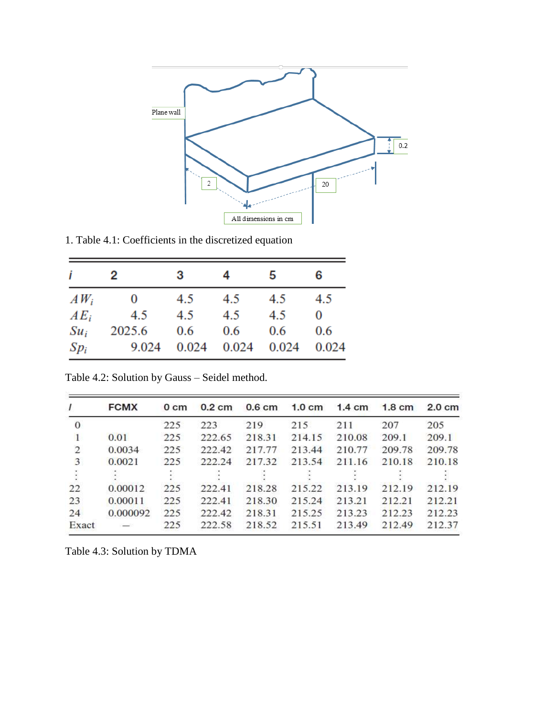

1. Table 4.1: Coefficients in the discretized equation

| i       | 2      | 3   | 4           | 5     | 6     |
|---------|--------|-----|-------------|-------|-------|
| $AW_i$  | 0      | 4.5 | 4.5         | 4.5   | 4.5   |
| $AE_i$  | 4.5    | 4.5 | 4.5         | 4.5   | 0     |
| $S u_i$ | 2025.6 | 0.6 | 0.6         | 0.6   | 0.6   |
| $Sp_i$  | 9.024  |     | 0.024 0.024 | 0.024 | 0.024 |

Table 4.2: Solution by Gauss – Seidel method.

| $\mathcal{I}$  | <b>FCMX</b> | 0 <sub>cm</sub> | $0.2 \text{ cm}$ | 0.6 <sub>cm</sub> | $1.0 \text{ cm}$ | $1.4 \text{ cm}$ | $1.8 \text{ cm}$ | $2.0 \text{ cm}$ |
|----------------|-------------|-----------------|------------------|-------------------|------------------|------------------|------------------|------------------|
| $\mathbf{0}$   |             | 225             | 223              | 219               | 215              | 211              | 207              | 205              |
| 1              | 0.01        | 225             | 222.65           | 218.31            | 214.15           | 210.08           | 209.1            | 209.1            |
| $\overline{2}$ | 0.0034      | 225             | 222.42           | 217.77            | 213.44           | 210.77           | 209.78           | 209.78           |
| 3              | 0.0021      | 225             | 222.24           | 217.32            | 213.54           | 211.16           | 210.18           | 210.18           |
| ÷              |             |                 |                  |                   |                  |                  |                  |                  |
| 22             | 0.00012     | 225             | 222.41           | 218.28            | 215.22           | 213.19           | 212.19           | 212.19           |
| 23             | 0.00011     | 225             | 222.41           | 218.30            | 215.24           | 213.21           | 212.21           | 212.21           |
| 24             | 0.000092    | 225             | 222.42           | 218.31            | 215.25           | 213.23           | 212.23           | 212.23           |
| Exact          |             | 225             | 222.58           | 218.52            | 215.51           | 213.49           | 212.49           | 212.37           |

Table 4.3: Solution by TDMA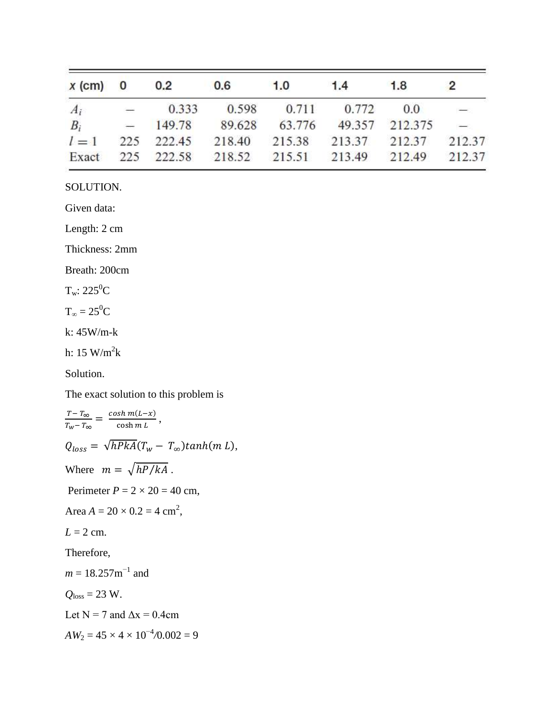| $x$ (cm) 0 0.2 |  | 0.6 | 1.0 | 1.4                                                   | 1.8 | $\overline{2}$           |
|----------------|--|-----|-----|-------------------------------------------------------|-----|--------------------------|
| $A_i$          |  |     |     | $-$ 0.333 0.598 0.711 0.772 0.0                       |     | $\overline{\phantom{0}}$ |
|                |  |     |     | $B_i$ - 149.78 89.628 63.776 49.357 212.375 -         |     |                          |
|                |  |     |     | $l = 1$ 225 222.45 218.40 215.38 213.37 212.37 212.37 |     |                          |
|                |  |     |     | Exact 225 222.58 218.52 215.51 213.49 212.49 212.37   |     |                          |

SOLUTION.

Given data:

Length: 2 cm

Thickness: 2mm

Breath: 200cm

 $T_w: 225^0C$ 

 $T_{\infty} = 25^0C$ 

k: 45W/m-k

h: 15 W/m<sup>2</sup>k

Solution.

The exact solution to this problem is

T  $\frac{T-T_{\infty}}{T_W-T_{\infty}} = \frac{\cosh m(L-x)}{\cosh m L}$  $\frac{\sin \frac{m(L-x)}{cosh mL}}{cosh mL},$  $Q_{loss} = \sqrt{hPkA}(T_w - T_{\infty})\tanh(m L),$ Where  $m = \sqrt{hP/kA}$ . Perimeter  $P = 2 \times 20 = 40$  cm, Area  $A = 20 \times 0.2 = 4$  cm<sup>2</sup>,  $L = 2$  cm. Therefore,  $m = 18.257$ m<sup>-1</sup> and  $Q$ <sub>loss</sub> = 23 W. Let  $N = 7$  and  $\Delta x = 0.4$ cm  $AW_2 = 45 \times 4 \times 10^{-4} / 0.002 = 9$